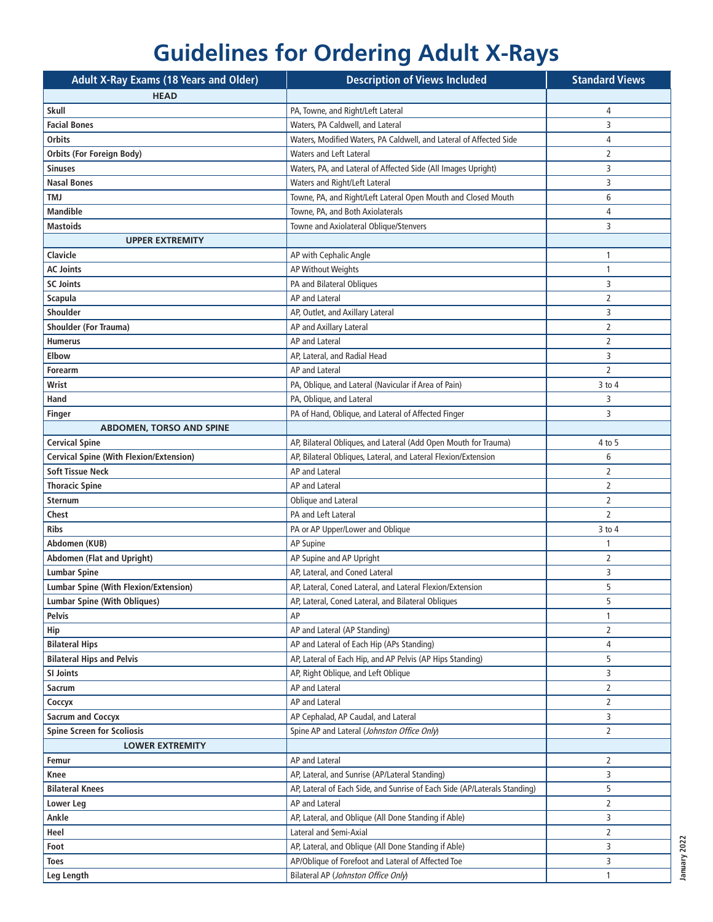## **Guidelines for Ordering Adult X-Rays**

| <b>Adult X-Ray Exams (18 Years and Older)</b>  | <b>Description of Views Included</b>                                      | <b>Standard Views</b> |
|------------------------------------------------|---------------------------------------------------------------------------|-----------------------|
| <b>HEAD</b>                                    |                                                                           |                       |
| <b>Skull</b>                                   | PA, Towne, and Right/Left Lateral                                         | 4                     |
| <b>Facial Bones</b>                            | Waters, PA Caldwell, and Lateral                                          | 3                     |
| <b>Orbits</b>                                  | Waters, Modified Waters, PA Caldwell, and Lateral of Affected Side        | 4                     |
| Orbits (For Foreign Body)                      | <b>Waters and Left Lateral</b>                                            | $\overline{2}$        |
| <b>Sinuses</b>                                 | Waters, PA, and Lateral of Affected Side (All Images Upright)             | 3                     |
| <b>Nasal Bones</b>                             | Waters and Right/Left Lateral                                             | 3                     |
| <b>TMJ</b>                                     | Towne, PA, and Right/Left Lateral Open Mouth and Closed Mouth             | 6                     |
| <b>Mandible</b>                                | Towne, PA, and Both Axiolaterals                                          | 4                     |
| <b>Mastoids</b>                                | Towne and Axiolateral Oblique/Stenvers                                    | 3                     |
| <b>UPPER EXTREMITY</b>                         |                                                                           |                       |
| Clavicle                                       | AP with Cephalic Angle                                                    | 1                     |
| <b>AC Joints</b>                               | AP Without Weights                                                        | 1                     |
| <b>SC Joints</b>                               | PA and Bilateral Obliques                                                 | 3                     |
| Scapula                                        | <b>AP and Lateral</b>                                                     | $\overline{2}$        |
| Shoulder                                       | AP, Outlet, and Axillary Lateral                                          | 3                     |
| <b>Shoulder (For Trauma)</b>                   | AP and Axillary Lateral                                                   | $\overline{2}$        |
| <b>Humerus</b>                                 | <b>AP and Lateral</b>                                                     | $\overline{2}$        |
| <b>Elbow</b>                                   | AP, Lateral, and Radial Head                                              | 3                     |
| Forearm                                        | AP and Lateral                                                            | $\overline{2}$        |
| Wrist                                          | PA, Oblique, and Lateral (Navicular if Area of Pain)                      | $3$ to $4$            |
| Hand                                           | PA, Oblique, and Lateral                                                  | 3                     |
| Finger                                         | PA of Hand, Oblique, and Lateral of Affected Finger                       | 3                     |
| <b>ABDOMEN, TORSO AND SPINE</b>                |                                                                           |                       |
| <b>Cervical Spine</b>                          | AP, Bilateral Obliques, and Lateral (Add Open Mouth for Trauma)           | 4 to 5                |
| <b>Cervical Spine (With Flexion/Extension)</b> | AP, Bilateral Obliques, Lateral, and Lateral Flexion/Extension            | 6                     |
| <b>Soft Tissue Neck</b>                        | <b>AP and Lateral</b>                                                     | 2                     |
| <b>Thoracic Spine</b>                          | AP and Lateral                                                            | $\overline{2}$        |
| <b>Sternum</b>                                 | Oblique and Lateral                                                       | $\overline{2}$        |
| Chest                                          | PA and Left Lateral                                                       | $\overline{2}$        |
| <b>Ribs</b>                                    | PA or AP Upper/Lower and Oblique                                          | $3$ to $4$            |
| Abdomen (KUB)                                  | AP Supine                                                                 | 1                     |
| <b>Abdomen (Flat and Upright)</b>              | AP Supine and AP Upright                                                  | $\overline{2}$        |
| <b>Lumbar Spine</b>                            | AP, Lateral, and Coned Lateral                                            | 3                     |
| <b>Lumbar Spine (With Flexion/Extension)</b>   | AP, Lateral, Coned Lateral, and Lateral Flexion/Extension                 | 5                     |
| <b>Lumbar Spine (With Obliques)</b>            | AP, Lateral, Coned Lateral, and Bilateral Obliques                        | 5                     |
| <b>Pelvis</b>                                  | AP                                                                        | 1                     |
| Hip                                            | AP and Lateral (AP Standing)                                              | $\overline{2}$        |
| <b>Bilateral Hips</b>                          | AP and Lateral of Each Hip (APs Standing)                                 | 4                     |
| <b>Bilateral Hips and Pelvis</b>               | AP, Lateral of Each Hip, and AP Pelvis (AP Hips Standing)                 | 5                     |
| SI Joints                                      | AP, Right Oblique, and Left Oblique                                       | 3                     |
| <b>Sacrum</b>                                  | AP and Lateral                                                            | 2                     |
| Соссух                                         | AP and Lateral                                                            | 2                     |
| <b>Sacrum and Coccyx</b>                       | AP Cephalad, AP Caudal, and Lateral                                       | 3                     |
| <b>Spine Screen for Scoliosis</b>              | Spine AP and Lateral (Johnston Office Only)                               | $\overline{2}$        |
| <b>LOWER EXTREMITY</b>                         |                                                                           |                       |
| Femur                                          | AP and Lateral                                                            | 2                     |
| Knee                                           | AP, Lateral, and Sunrise (AP/Lateral Standing)                            | 3                     |
| <b>Bilateral Knees</b>                         | AP, Lateral of Each Side, and Sunrise of Each Side (AP/Laterals Standing) | 5                     |
| <b>Lower Leg</b>                               | AP and Lateral                                                            | $\overline{2}$        |
| Ankle                                          | AP, Lateral, and Oblique (All Done Standing if Able)                      | 3                     |
| Heel                                           | Lateral and Semi-Axial                                                    | $\overline{2}$        |
| Foot                                           | AP, Lateral, and Oblique (All Done Standing if Able)                      | 3                     |
| Toes                                           | AP/Oblique of Forefoot and Lateral of Affected Toe                        | 3                     |
|                                                | Bilateral AP (Johnston Office Only)                                       | 1                     |
| Leg Length                                     |                                                                           |                       |